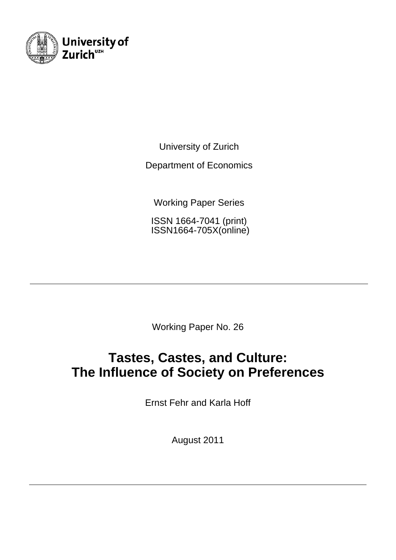

University of Zurich

Department of Economics

Working Paper Series

ISSN 1664-7041 (print) ISSN1664-705X(online)

Working Paper No. 26

# **Tastes, Castes, and Culture: The Influence of Society on Preferences**

Ernst Fehr and Karla Hoff

August 2011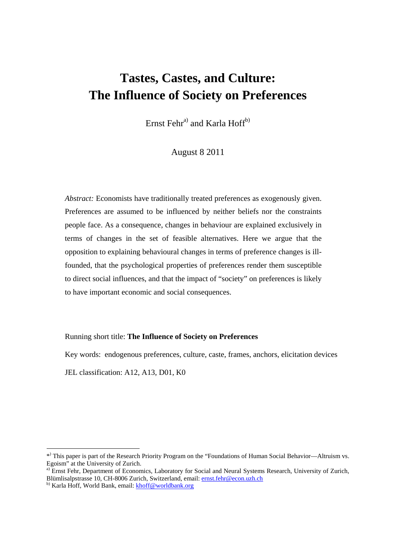## **Tastes, Castes, and Culture: The Influence of Society on Preferences**

Ernst Fehr<sup>a)</sup> and Karla Hoff<sup>b)</sup>

August 8 2011

*Abstract:* Economists have traditionally treated preferences as exogenously given. Preferences are assumed to be influenced by neither beliefs nor the constraints people face. As a consequence, changes in behaviour are explained exclusively in terms of changes in the set of feasible alternatives. Here we argue that the opposition to explaining behavioural changes in terms of preference changes is illfounded, that the psychological properties of preferences render them susceptible to direct social influences, and that the impact of "society" on preferences is likely to have important economic and social consequences.

Running short title: **The Influence of Society on Preferences** 

Key words: endogenous preferences, culture, caste, frames, anchors, elicitation devices

JEL classification: A12, A13, D01, K0

<sup>\*)</sup> This paper is part of the Research Priority Program on the "Foundations of Human Social Behavior—Altruism vs. Egoism" at the University of Zurich.

a) Ernst Fehr, Department of Economics, Laboratory for Social and Neural Systems Research, University of Zurich, Blümlisalpstrasse 10, CH-8006 Zurich, Switzerland, email: ernst.fehr@econ.uzh.ch

b) Karla Hoff, World Bank, email: khoff@worldbank.org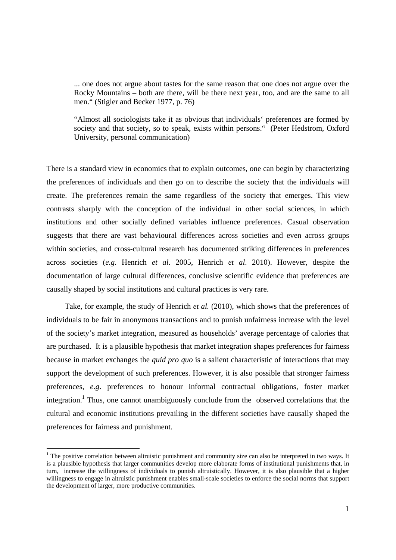... one does not argue about tastes for the same reason that one does not argue over the Rocky Mountains – both are there, will be there next year, too, and are the same to all men." (Stigler and Becker 1977, p. 76)

"Almost all sociologists take it as obvious that individuals' preferences are formed by society and that society, so to speak, exists within persons." (Peter Hedstrom, Oxford University, personal communication)

There is a standard view in economics that to explain outcomes, one can begin by characterizing the preferences of individuals and then go on to describe the society that the individuals will create. The preferences remain the same regardless of the society that emerges. This view contrasts sharply with the conception of the individual in other social sciences, in which institutions and other socially defined variables influence preferences. Casual observation suggests that there are vast behavioural differences across societies and even across groups within societies, and cross-cultural research has documented striking differences in preferences across societies (*e.g*. Henrich *et al*. 2005, Henrich *et al*. 2010). However, despite the documentation of large cultural differences, conclusive scientific evidence that preferences are causally shaped by social institutions and cultural practices is very rare.

Take, for example, the study of Henrich *et al.* (2010), which shows that the preferences of individuals to be fair in anonymous transactions and to punish unfairness increase with the level of the society's market integration, measured as households' average percentage of calories that are purchased. It is a plausible hypothesis that market integration shapes preferences for fairness because in market exchanges the *quid pro quo* is a salient characteristic of interactions that may support the development of such preferences. However, it is also possible that stronger fairness preferences, *e.g*. preferences to honour informal contractual obligations, foster market integration.<sup>1</sup> Thus, one cannot unambiguously conclude from the observed correlations that the cultural and economic institutions prevailing in the different societies have causally shaped the preferences for fairness and punishment.

 $<sup>1</sup>$  The positive correlation between altruistic punishment and community size can also be interpreted in two ways. It</sup> is a plausible hypothesis that larger communities develop more elaborate forms of institutional punishments that, in turn, increase the willingness of individuals to punish altruistically. However, it is also plausible that a higher willingness to engage in altruistic punishment enables small-scale societies to enforce the social norms that support the development of larger, more productive communities.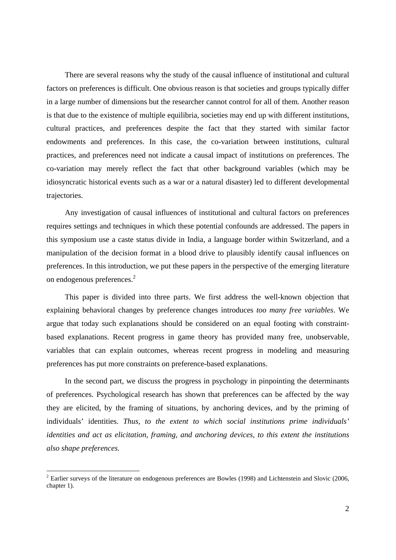There are several reasons why the study of the causal influence of institutional and cultural factors on preferences is difficult. One obvious reason is that societies and groups typically differ in a large number of dimensions but the researcher cannot control for all of them. Another reason is that due to the existence of multiple equilibria, societies may end up with different institutions, cultural practices, and preferences despite the fact that they started with similar factor endowments and preferences. In this case, the co-variation between institutions, cultural practices, and preferences need not indicate a causal impact of institutions on preferences. The co-variation may merely reflect the fact that other background variables (which may be idiosyncratic historical events such as a war or a natural disaster) led to different developmental trajectories.

Any investigation of causal influences of institutional and cultural factors on preferences requires settings and techniques in which these potential confounds are addressed. The papers in this symposium use a caste status divide in India, a language border within Switzerland, and a manipulation of the decision format in a blood drive to plausibly identify causal influences on preferences. In this introduction, we put these papers in the perspective of the emerging literature on endogenous preferences.<sup>2</sup>

This paper is divided into three parts. We first address the well-known objection that explaining behavioral changes by preference changes introduces *too many free variables*. We argue that today such explanations should be considered on an equal footing with constraintbased explanations. Recent progress in game theory has provided many free, unobservable, variables that can explain outcomes, whereas recent progress in modeling and measuring preferences has put more constraints on preference-based explanations.

In the second part, we discuss the progress in psychology in pinpointing the determinants of preferences. Psychological research has shown that preferences can be affected by the way they are elicited, by the framing of situations, by anchoring devices, and by the priming of individuals' identities. *Thus, to the extent to which social institutions prime individuals' identities and act as elicitation, framing, and anchoring devices, to this extent the institutions also shape preferences.* 

 $2^2$  Earlier surveys of the literature on endogenous preferences are Bowles (1998) and Lichtenstein and Slovic (2006, chapter 1).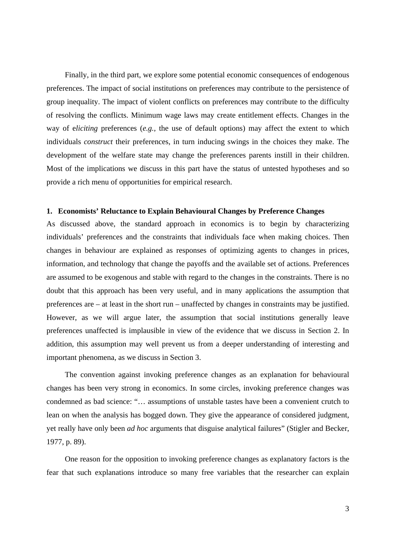Finally, in the third part, we explore some potential economic consequences of endogenous preferences. The impact of social institutions on preferences may contribute to the persistence of group inequality. The impact of violent conflicts on preferences may contribute to the difficulty of resolving the conflicts. Minimum wage laws may create entitlement effects. Changes in the way of e*liciting* preferences (*e.g.,* the use of default options) may affect the extent to which individuals *construct* their preferences, in turn inducing swings in the choices they make. The development of the welfare state may change the preferences parents instill in their children. Most of the implications we discuss in this part have the status of untested hypotheses and so provide a rich menu of opportunities for empirical research.

#### **1. Economists' Reluctance to Explain Behavioural Changes by Preference Changes**

As discussed above, the standard approach in economics is to begin by characterizing individuals' preferences and the constraints that individuals face when making choices. Then changes in behaviour are explained as responses of optimizing agents to changes in prices, information, and technology that change the payoffs and the available set of actions. Preferences are assumed to be exogenous and stable with regard to the changes in the constraints. There is no doubt that this approach has been very useful, and in many applications the assumption that preferences are – at least in the short run – unaffected by changes in constraints may be justified. However, as we will argue later, the assumption that social institutions generally leave preferences unaffected is implausible in view of the evidence that we discuss in Section 2. In addition, this assumption may well prevent us from a deeper understanding of interesting and important phenomena, as we discuss in Section 3.

The convention against invoking preference changes as an explanation for behavioural changes has been very strong in economics. In some circles, invoking preference changes was condemned as bad science: "… assumptions of unstable tastes have been a convenient crutch to lean on when the analysis has bogged down. They give the appearance of considered judgment, yet really have only been *ad hoc* arguments that disguise analytical failures" (Stigler and Becker, 1977, p. 89).

One reason for the opposition to invoking preference changes as explanatory factors is the fear that such explanations introduce so many free variables that the researcher can explain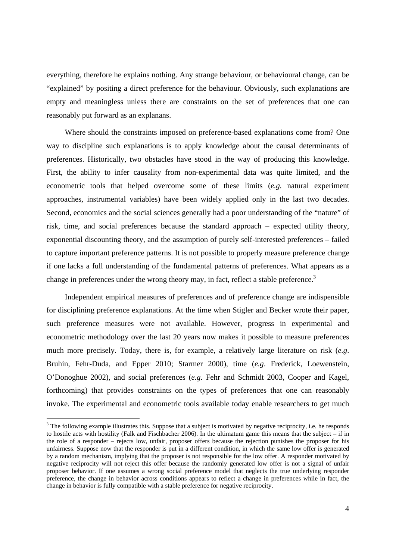everything, therefore he explains nothing. Any strange behaviour, or behavioural change, can be "explained" by positing a direct preference for the behaviour. Obviously, such explanations are empty and meaningless unless there are constraints on the set of preferences that one can reasonably put forward as an explanans.

Where should the constraints imposed on preference-based explanations come from? One way to discipline such explanations is to apply knowledge about the causal determinants of preferences. Historically, two obstacles have stood in the way of producing this knowledge. First, the ability to infer causality from non-experimental data was quite limited, and the econometric tools that helped overcome some of these limits (*e.g.* natural experiment approaches, instrumental variables) have been widely applied only in the last two decades. Second, economics and the social sciences generally had a poor understanding of the "nature" of risk, time, and social preferences because the standard approach – expected utility theory, exponential discounting theory, and the assumption of purely self-interested preferences – failed to capture important preference patterns. It is not possible to properly measure preference change if one lacks a full understanding of the fundamental patterns of preferences. What appears as a change in preferences under the wrong theory may, in fact, reflect a stable preference.<sup>3</sup>

Independent empirical measures of preferences and of preference change are indispensible for disciplining preference explanations. At the time when Stigler and Becker wrote their paper, such preference measures were not available. However, progress in experimental and econometric methodology over the last 20 years now makes it possible to measure preferences much more precisely. Today, there is, for example, a relatively large literature on risk (*e.g*. Bruhin, Fehr-Duda, and Epper 2010; Starmer 2000), time (*e.g*. Frederick, Loewenstein, O'Donoghue 2002), and social preferences (*e.g*. Fehr and Schmidt 2003, Cooper and Kagel, forthcoming) that provides constraints on the types of preferences that one can reasonably invoke. The experimental and econometric tools available today enable researchers to get much

<sup>&</sup>lt;sup>3</sup> The following example illustrates this. Suppose that a subject is motivated by negative reciprocity, i.e. he responds to hostile acts with hostility (Falk and Fischbacher 2006). In the ultimatum game this means that the subject – if in the role of a responder – rejects low, unfair, proposer offers because the rejection punishes the proposer for his unfairness. Suppose now that the responder is put in a different condition, in which the same low offer is generated by a random mechanism, implying that the proposer is not responsible for the low offer. A responder motivated by negative reciprocity will not reject this offer because the randomly generated low offer is not a signal of unfair proposer behavior. If one assumes a wrong social preference model that neglects the true underlying responder preference, the change in behavior across conditions appears to reflect a change in preferences while in fact, the change in behavior is fully compatible with a stable preference for negative reciprocity.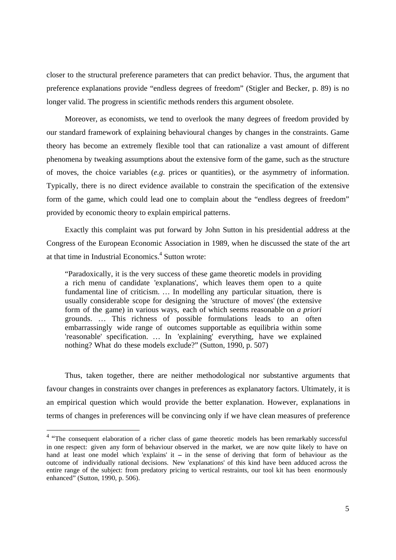closer to the structural preference parameters that can predict behavior. Thus, the argument that preference explanations provide "endless degrees of freedom" (Stigler and Becker, p. 89) is no longer valid. The progress in scientific methods renders this argument obsolete.

Moreover, as economists, we tend to overlook the many degrees of freedom provided by our standard framework of explaining behavioural changes by changes in the constraints. Game theory has become an extremely flexible tool that can rationalize a vast amount of different phenomena by tweaking assumptions about the extensive form of the game, such as the structure of moves, the choice variables (*e.g*. prices or quantities), or the asymmetry of information. Typically, there is no direct evidence available to constrain the specification of the extensive form of the game, which could lead one to complain about the "endless degrees of freedom" provided by economic theory to explain empirical patterns.

Exactly this complaint was put forward by John Sutton in his presidential address at the Congress of the European Economic Association in 1989, when he discussed the state of the art at that time in Industrial Economics.<sup>4</sup> Sutton wrote:

"Paradoxically, it is the very success of these game theoretic models in providing a rich menu of candidate 'explanations', which leaves them open to a quite fundamental line of criticism. … In modelling any particular situation, there is usually considerable scope for designing the 'structure of moves' (the extensive form of the game) in various ways, each of which seems reasonable on *a priori* grounds. … This richness of possible formulations leads to an often embarrassingly wide range of outcomes supportable as equilibria within some 'reasonable' specification. … In 'explaining' everything, have we explained nothing? What do these models exclude?" (Sutton, 1990, p. 507)

Thus, taken together, there are neither methodological nor substantive arguments that favour changes in constraints over changes in preferences as explanatory factors. Ultimately, it is an empirical question which would provide the better explanation. However, explanations in terms of changes in preferences will be convincing only if we have clean measures of preference

<sup>&</sup>lt;sup>4</sup> "The consequent elaboration of a richer class of game theoretic models has been remarkably successful in one respect: given any form of behaviour observed in the market, we are now quite likely to have on hand at least one model which 'explains' it – in the sense of deriving that form of behaviour as the outcome of individually rational decisions. New 'explanations' of this kind have been adduced across the entire range of the subject: from predatory pricing to vertical restraints, our tool kit has been enormously enhanced" (Sutton, 1990, p. 506).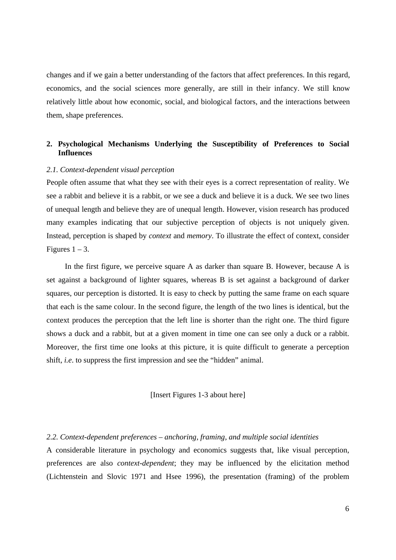changes and if we gain a better understanding of the factors that affect preferences. In this regard, economics, and the social sciences more generally, are still in their infancy. We still know relatively little about how economic, social, and biological factors, and the interactions between them, shape preferences.

## **2. Psychological Mechanisms Underlying the Susceptibility of Preferences to Social Influences**

#### *2.1. Context-dependent visual perception*

People often assume that what they see with their eyes is a correct representation of reality. We see a rabbit and believe it is a rabbit, or we see a duck and believe it is a duck. We see two lines of unequal length and believe they are of unequal length. However, vision research has produced many examples indicating that our subjective perception of objects is not uniquely given. Instead, perception is shaped by *context* and *memory*. To illustrate the effect of context, consider Figures  $1 - 3$ .

In the first figure, we perceive square A as darker than square B. However, because A is set against a background of lighter squares, whereas B is set against a background of darker squares, our perception is distorted. It is easy to check by putting the same frame on each square that each is the same colour. In the second figure, the length of the two lines is identical, but the context produces the perception that the left line is shorter than the right one. The third figure shows a duck and a rabbit, but at a given moment in time one can see only a duck or a rabbit. Moreover, the first time one looks at this picture, it is quite difficult to generate a perception shift, *i.e*. to suppress the first impression and see the "hidden" animal.

[Insert Figures 1-3 about here]

#### *2.2. Context-dependent preferences – anchoring, framing, and multiple social identities*

A considerable literature in psychology and economics suggests that, like visual perception, preferences are also *context-dependent*; they may be influenced by the elicitation method (Lichtenstein and Slovic 1971 and Hsee 1996), the presentation (framing) of the problem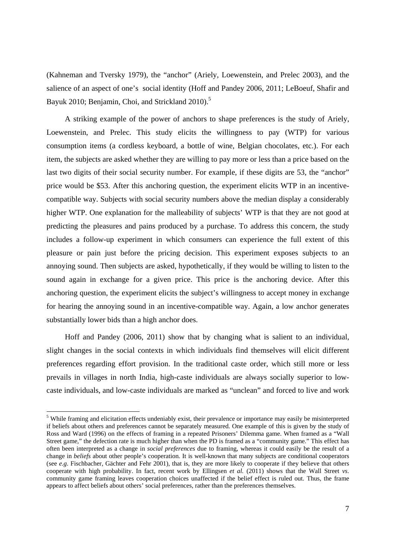(Kahneman and Tversky 1979), the "anchor" (Ariely, Loewenstein, and Prelec 2003), and the salience of an aspect of one's social identity (Hoff and Pandey 2006, 2011; LeBoeuf, Shafir and Bayuk 2010; Benjamin, Choi, and Strickland 2010).<sup>5</sup>

A striking example of the power of anchors to shape preferences is the study of Ariely, Loewenstein, and Prelec. This study elicits the willingness to pay (WTP) for various consumption items (a cordless keyboard, a bottle of wine, Belgian chocolates, etc.). For each item, the subjects are asked whether they are willing to pay more or less than a price based on the last two digits of their social security number. For example, if these digits are 53, the "anchor" price would be \$53. After this anchoring question, the experiment elicits WTP in an incentivecompatible way. Subjects with social security numbers above the median display a considerably higher WTP. One explanation for the malleability of subjects' WTP is that they are not good at predicting the pleasures and pains produced by a purchase. To address this concern, the study includes a follow-up experiment in which consumers can experience the full extent of this pleasure or pain just before the pricing decision. This experiment exposes subjects to an annoying sound. Then subjects are asked, hypothetically, if they would be willing to listen to the sound again in exchange for a given price. This price is the anchoring device. After this anchoring question, the experiment elicits the subject's willingness to accept money in exchange for hearing the annoying sound in an incentive-compatible way. Again, a low anchor generates substantially lower bids than a high anchor does.

Hoff and Pandey (2006, 2011) show that by changing what is salient to an individual, slight changes in the social contexts in which individuals find themselves will elicit different preferences regarding effort provision. In the traditional caste order, which still more or less prevails in villages in north India, high-caste individuals are always socially superior to lowcaste individuals, and low-caste individuals are marked as "unclean" and forced to live and work

 $<sup>5</sup>$  While framing and elicitation effects undeniably exist, their prevalence or importance may easily be misinterpreted</sup> if beliefs about others and preferences cannot be separately measured. One example of this is given by the study of Ross and Ward (1996) on the effects of framing in a repeated Prisoners' Dilemma game. When framed as a "Wall Street game," the defection rate is much higher than when the PD is framed as a "community game." This effect has often been interpreted as a change in *social preferences* due to framing, whereas it could easily be the result of a change in *beliefs* about other people's cooperation. It is well-known that many subjects are conditional cooperators (see *e.g*. Fischbacher, Gächter and Fehr 2001), that is, they are more likely to cooperate if they believe that others cooperate with high probability. In fact, recent work by Ellingsen *et al.* (2011) shows that the Wall Street *vs*. community game framing leaves cooperation choices unaffected if the belief effect is ruled out. Thus, the frame appears to affect beliefs about others' social preferences, rather than the preferences themselves.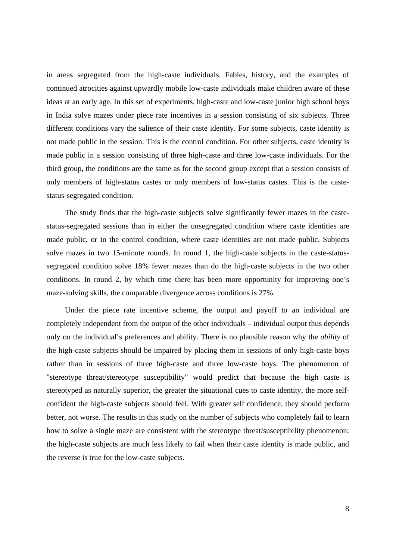in areas segregated from the high-caste individuals. Fables, history, and the examples of continued atrocities against upwardly mobile low-caste individuals make children aware of these ideas at an early age. In this set of experiments, high-caste and low-caste junior high school boys in India solve mazes under piece rate incentives in a session consisting of six subjects. Three different conditions vary the salience of their caste identity. For some subjects, caste identity is not made public in the session. This is the control condition. For other subjects, caste identity is made public in a session consisting of three high-caste and three low-caste individuals. For the third group, the conditions are the same as for the second group except that a session consists of only members of high-status castes or only members of low-status castes. This is the castestatus-segregated condition.

The study finds that the high-caste subjects solve significantly fewer mazes in the castestatus-segregated sessions than in either the unsegregated condition where caste identities are made public, or in the control condition, where caste identities are not made public. Subjects solve mazes in two 15-minute rounds. In round 1, the high-caste subjects in the caste-statussegregated condition solve 18% fewer mazes than do the high-caste subjects in the two other conditions. In round 2, by which time there has been more opportunity for improving one's maze-solving skills, the comparable divergence across conditions is 27%.

Under the piece rate incentive scheme, the output and payoff to an individual are completely independent from the output of the other individuals – individual output thus depends only on the individual's preferences and ability. There is no plausible reason why the *ability* of the high-caste subjects should be impaired by placing them in sessions of only high-caste boys rather than in sessions of three high-caste and three low-caste boys. The phenomenon of "stereotype threat/stereotype susceptibility" would predict that because the high caste is stereotyped as naturally superior, the greater the situational cues to caste identity, the more selfconfident the high-caste subjects should feel. With greater self confidence, they should perform better, not worse. The results in this study on the number of subjects who completely fail to learn how to solve a single maze are consistent with the stereotype threat/susceptibility phenomenon: the high-caste subjects are much less likely to fail when their caste identity is made public, and the reverse is true for the low-caste subjects.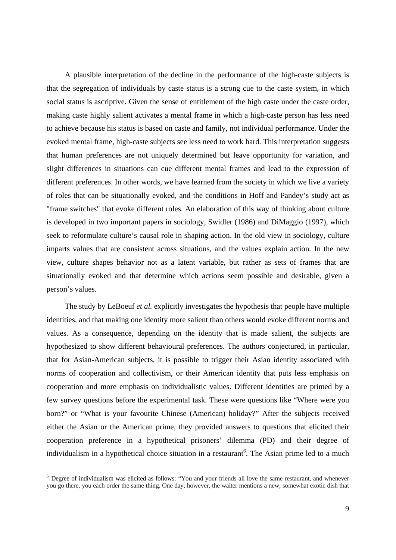A plausible interpretation of the decline in the performance of the high-caste subjects is that the segregation of individuals by caste status is a strong cue to the caste system, in which social status is ascriptive**.** Given the sense of entitlement of the high caste under the caste order, making caste highly salient activates a mental frame in which a high-caste person has less need to achieve because his status is based on caste and family, not individual performance. Under the evoked mental frame, high-caste subjects see less need to work hard. This interpretation suggests that human preferences are not uniquely determined but leave opportunity for variation, and slight differences in situations can cue different mental frames and lead to the expression of different preferences. In other words, we have learned from the society in which we live a variety of roles that can be situationally evoked, and the conditions in Hoff and Pandey's study act as "frame switches" that evoke different roles. An elaboration of this way of thinking about culture is developed in two important papers in sociology, Swidler (1986) and DiMaggio (1997), which seek to reformulate culture's causal role in shaping action. In the old view in sociology, culture imparts values that are consistent across situations, and the values explain action. In the new view, culture shapes behavior not as a latent variable, but rather as sets of frames that are situationally evoked and that determine which actions seem possible and desirable, given a person's values.

The study by LeBoeuf *et al.* explicitly investigates the hypothesis that people have multiple identities, and that making one identity more salient than others would evoke different norms and values. As a consequence, depending on the identity that is made salient, the subjects are hypothesized to show different behavioural preferences. The authors conjectured, in particular, that for Asian-American subjects, it is possible to trigger their Asian identity associated with norms of cooperation and collectivism, or their American identity that puts less emphasis on cooperation and more emphasis on individualistic values. Different identities are primed by a few survey questions before the experimental task. These were questions like "Where were you born?" or "What is your favourite Chinese (American) holiday?" After the subjects received either the Asian or the American prime, they provided answers to questions that elicited their cooperation preference in a hypothetical prisoners' dilemma (PD) and their degree of individualism in a hypothetical choice situation in a restaurant<sup>6</sup>. The Asian prime led to a much

<sup>6</sup> Degree of individualism was elicited as follows: "You and your friends all love the same restaurant, and whenever you go there, you each order the same thing. One day, however, the waiter mentions a new, somewhat exotic dish that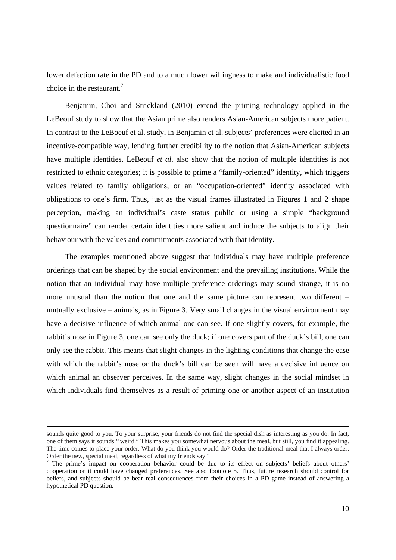lower defection rate in the PD and to a much lower willingness to make and individualistic food choice in the restaurant. $<sup>7</sup>$ </sup>

Benjamin, Choi and Strickland (2010) extend the priming technology applied in the LeBeouf study to show that the Asian prime also renders Asian-American subjects more patient. In contrast to the LeBoeuf et al. study, in Benjamin et al. subjects' preferences were elicited in an incentive-compatible way, lending further credibility to the notion that Asian-American subjects have multiple identities. LeBeouf *et al*. also show that the notion of multiple identities is not restricted to ethnic categories; it is possible to prime a "family-oriented" identity, which triggers values related to family obligations, or an "occupation-oriented" identity associated with obligations to one's firm. Thus, just as the visual frames illustrated in Figures 1 and 2 shape perception, making an individual's caste status public or using a simple "background questionnaire" can render certain identities more salient and induce the subjects to align their behaviour with the values and commitments associated with that identity.

The examples mentioned above suggest that individuals may have multiple preference orderings that can be shaped by the social environment and the prevailing institutions. While the notion that an individual may have multiple preference orderings may sound strange, it is no more unusual than the notion that one and the same picture can represent two different – mutually exclusive – animals, as in Figure 3. Very small changes in the visual environment may have a decisive influence of which animal one can see. If one slightly covers, for example, the rabbit's nose in Figure 3, one can see only the duck; if one covers part of the duck's bill, one can only see the rabbit. This means that slight changes in the lighting conditions that change the ease with which the rabbit's nose or the duck's bill can be seen will have a decisive influence on which animal an observer perceives. In the same way, slight changes in the social mindset in which individuals find themselves as a result of priming one or another aspect of an institution

sounds quite good to you. To your surprise, your friends do not find the special dish as interesting as you do. In fact, one of them says it sounds ''weird." This makes you somewhat nervous about the meal, but still, you find it appealing. The time comes to place your order. What do you think you would do? Order the traditional meal that I always order. Order the new, special meal, regardless of what my friends say."

<sup>&</sup>lt;sup>7</sup> The prime's impact on cooperation behavior could be due to its effect on subjects' beliefs about others' cooperation or it could have changed preferences. See also footnote 5. Thus, future research should control for beliefs, and subjects should be bear real consequences from their choices in a PD game instead of answering a hypothetical PD question.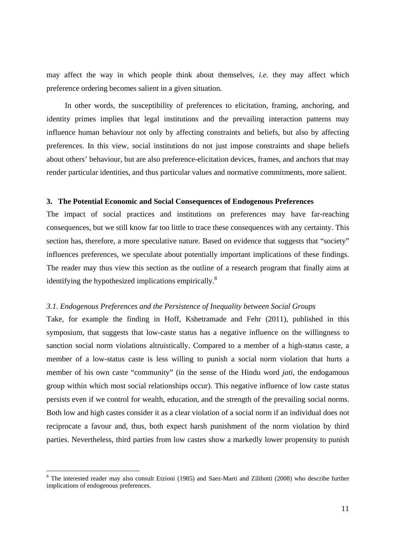may affect the way in which people think about themselves, *i.e*. they may affect which preference ordering becomes salient in a given situation.

In other words, the susceptibility of preferences to elicitation, framing, anchoring, and identity primes implies that legal institutions and the prevailing interaction patterns may influence human behaviour not only by affecting constraints and beliefs, but also by affecting preferences. In this view, social institutions do not just impose constraints and shape beliefs about others' behaviour, but are also preference-elicitation devices, frames, and anchors that may render particular identities, and thus particular values and normative commitments, more salient.

#### **3. The Potential Economic and Social Consequences of Endogenous Preferences**

The impact of social practices and institutions on preferences may have far-reaching consequences, but we still know far too little to trace these consequences with any certainty. This section has, therefore, a more speculative nature. Based on evidence that suggests that "society" influences preferences, we speculate about potentially important implications of these findings. The reader may thus view this section as the outline of a research program that finally aims at identifying the hypothesized implications empirically.<sup>8</sup>

#### *3.1. Endogenous Preferences and the Persistence of Inequality between Social Groups*

Take, for example the finding in Hoff, Kshetramade and Fehr (2011), published in this symposium, that suggests that low-caste status has a negative influence on the willingness to sanction social norm violations altruistically. Compared to a member of a high-status caste, a member of a low-status caste is less willing to punish a social norm violation that hurts a member of his own caste "community" (in the sense of the Hindu word *jati*, the endogamous group within which most social relationships occur). This negative influence of low caste status persists even if we control for wealth, education, and the strength of the prevailing social norms. Both low and high castes consider it as a clear violation of a social norm if an individual does not reciprocate a favour and, thus, both expect harsh punishment of the norm violation by third parties. Nevertheless, third parties from low castes show a markedly lower propensity to punish

<sup>&</sup>lt;sup>8</sup> The interested reader may also consult Etzioni (1985) and Saez-Marti and Zilibotti (2008) who describe further implications of endogenous preferences.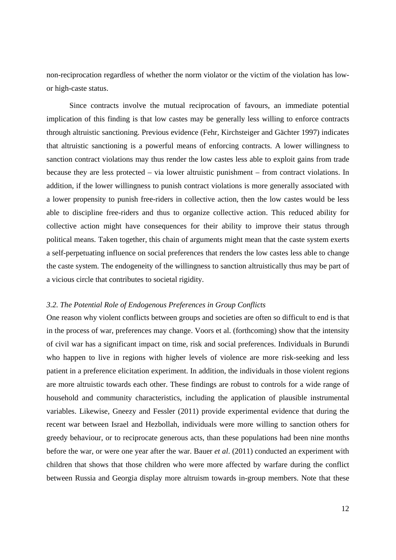non-reciprocation regardless of whether the norm violator or the victim of the violation has lowor high-caste status.

Since contracts involve the mutual reciprocation of favours, an immediate potential implication of this finding is that low castes may be generally less willing to enforce contracts through altruistic sanctioning. Previous evidence (Fehr, Kirchsteiger and Gächter 1997) indicates that altruistic sanctioning is a powerful means of enforcing contracts. A lower willingness to sanction contract violations may thus render the low castes less able to exploit gains from trade because they are less protected – via lower altruistic punishment – from contract violations. In addition, if the lower willingness to punish contract violations is more generally associated with a lower propensity to punish free-riders in collective action, then the low castes would be less able to discipline free-riders and thus to organize collective action. This reduced ability for collective action might have consequences for their ability to improve their status through political means. Taken together, this chain of arguments might mean that the caste system exerts a self-perpetuating influence on social preferences that renders the low castes less able to change the caste system. The endogeneity of the willingness to sanction altruistically thus may be part of a vicious circle that contributes to societal rigidity.

### *3.2. The Potential Role of Endogenous Preferences in Group Conflicts*

One reason why violent conflicts between groups and societies are often so difficult to end is that in the process of war, preferences may change. Voors et al. (forthcoming) show that the intensity of civil war has a significant impact on time, risk and social preferences. Individuals in Burundi who happen to live in regions with higher levels of violence are more risk-seeking and less patient in a preference elicitation experiment. In addition, the individuals in those violent regions are more altruistic towards each other. These findings are robust to controls for a wide range of household and community characteristics, including the application of plausible instrumental variables. Likewise, Gneezy and Fessler (2011) provide experimental evidence that during the recent war between Israel and Hezbollah, individuals were more willing to sanction others for greedy behaviour, or to reciprocate generous acts, than these populations had been nine months before the war, or were one year after the war. Bauer *et al*. (2011) conducted an experiment with children that shows that those children who were more affected by warfare during the conflict between Russia and Georgia display more altruism towards in-group members. Note that these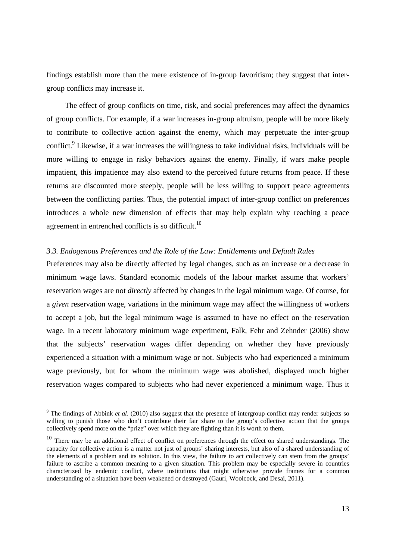findings establish more than the mere existence of in-group favoritism; they suggest that intergroup conflicts may increase it.

The effect of group conflicts on time, risk, and social preferences may affect the dynamics of group conflicts. For example, if a war increases in-group altruism, people will be more likely to contribute to collective action against the enemy, which may perpetuate the inter-group conflict.<sup>9</sup> Likewise, if a war increases the willingness to take individual risks, individuals will be more willing to engage in risky behaviors against the enemy. Finally, if wars make people impatient, this impatience may also extend to the perceived future returns from peace. If these returns are discounted more steeply, people will be less willing to support peace agreements between the conflicting parties. Thus, the potential impact of inter-group conflict on preferences introduces a whole new dimension of effects that may help explain why reaching a peace agreement in entrenched conflicts is so difficult.<sup>10</sup>

## *3.3. Endogenous Preferences and the Role of the Law: Entitlements and Default Rules*

Preferences may also be directly affected by legal changes, such as an increase or a decrease in minimum wage laws. Standard economic models of the labour market assume that workers' reservation wages are not *directly* affected by changes in the legal minimum wage. Of course, for a *given* reservation wage, variations in the minimum wage may affect the willingness of workers to accept a job, but the legal minimum wage is assumed to have no effect on the reservation wage. In a recent laboratory minimum wage experiment, Falk, Fehr and Zehnder (2006) show that the subjects' reservation wages differ depending on whether they have previously experienced a situation with a minimum wage or not. Subjects who had experienced a minimum wage previously, but for whom the minimum wage was abolished, displayed much higher reservation wages compared to subjects who had never experienced a minimum wage. Thus it

1

<sup>&</sup>lt;sup>9</sup> The findings of Abbink *et al.* (2010) also suggest that the presence of intergroup conflict may render subjects so willing to punish those who don't contribute their fair share to the group's collective action that the groups collectively spend more on the "prize" over which they are fighting than it is worth to them.

<sup>&</sup>lt;sup>10</sup> There may be an additional effect of conflict on preferences through the effect on shared understandings. The capacity for collective action is a matter not just of groups' sharing interests, but also of a shared understanding of the elements of a problem and its solution. In this view, the failure to act collectively can stem from the groups' failure to ascribe a common meaning to a given situation. This problem may be especially severe in countries characterized by endemic conflict, where institutions that might otherwise provide frames for a common understanding of a situation have been weakened or destroyed (Gauri, Woolcock, and Desai, 2011).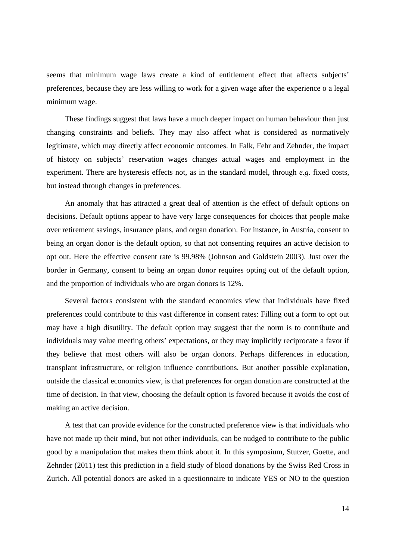seems that minimum wage laws create a kind of entitlement effect that affects subjects' preferences, because they are less willing to work for a given wage after the experience o a legal minimum wage.

These findings suggest that laws have a much deeper impact on human behaviour than just changing constraints and beliefs. They may also affect what is considered as normatively legitimate, which may directly affect economic outcomes. In Falk, Fehr and Zehnder, the impact of history on subjects' reservation wages changes actual wages and employment in the experiment. There are hysteresis effects not, as in the standard model, through *e.g*. fixed costs, but instead through changes in preferences.

An anomaly that has attracted a great deal of attention is the effect of default options on decisions. Default options appear to have very large consequences for choices that people make over retirement savings, insurance plans, and organ donation. For instance, in Austria, consent to being an organ donor is the default option, so that not consenting requires an active decision to opt out. Here the effective consent rate is 99.98% (Johnson and Goldstein 2003). Just over the border in Germany, consent to being an organ donor requires opting out of the default option, and the proportion of individuals who are organ donors is 12%.

Several factors consistent with the standard economics view that individuals have fixed preferences could contribute to this vast difference in consent rates: Filling out a form to opt out may have a high disutility. The default option may suggest that the norm is to contribute and individuals may value meeting others' expectations, or they may implicitly reciprocate a favor if they believe that most others will also be organ donors. Perhaps differences in education, transplant infrastructure, or religion influence contributions. But another possible explanation, outside the classical economics view, is that preferences for organ donation are constructed at the time of decision. In that view, choosing the default option is favored because it avoids the cost of making an active decision.

A test that can provide evidence for the constructed preference view is that individuals who have not made up their mind, but not other individuals, can be nudged to contribute to the public good by a manipulation that makes them think about it. In this symposium, Stutzer, Goette, and Zehnder (2011) test this prediction in a field study of blood donations by the Swiss Red Cross in Zurich. All potential donors are asked in a questionnaire to indicate YES or NO to the question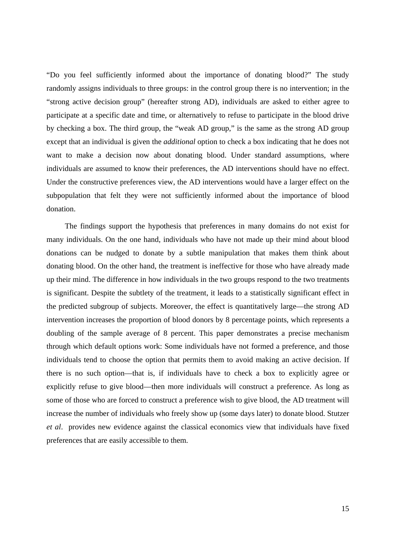"Do you feel sufficiently informed about the importance of donating blood?" The study randomly assigns individuals to three groups: in the control group there is no intervention; in the "strong active decision group" (hereafter strong AD), individuals are asked to either agree to participate at a specific date and time, or alternatively to refuse to participate in the blood drive by checking a box. The third group, the "weak AD group," is the same as the strong AD group except that an individual is given the *additional* option to check a box indicating that he does not want to make a decision now about donating blood. Under standard assumptions, where individuals are assumed to know their preferences, the AD interventions should have no effect. Under the constructive preferences view, the AD interventions would have a larger effect on the subpopulation that felt they were not sufficiently informed about the importance of blood donation.

The findings support the hypothesis that preferences in many domains do not exist for many individuals. On the one hand, individuals who have not made up their mind about blood donations can be nudged to donate by a subtle manipulation that makes them think about donating blood. On the other hand, the treatment is ineffective for those who have already made up their mind. The difference in how individuals in the two groups respond to the two treatments is significant. Despite the subtlety of the treatment, it leads to a statistically significant effect in the predicted subgroup of subjects. Moreover, the effect is quantitatively large—the strong AD intervention increases the proportion of blood donors by 8 percentage points, which represents a doubling of the sample average of 8 percent. This paper demonstrates a precise mechanism through which default options work: Some individuals have not formed a preference, and those individuals tend to choose the option that permits them to avoid making an active decision. If there is no such option—that is, if individuals have to check a box to explicitly agree or explicitly refuse to give blood—then more individuals will construct a preference. As long as some of those who are forced to construct a preference wish to give blood, the AD treatment will increase the number of individuals who freely show up (some days later) to donate blood. Stutzer *et al*. provides new evidence against the classical economics view that individuals have fixed preferences that are easily accessible to them.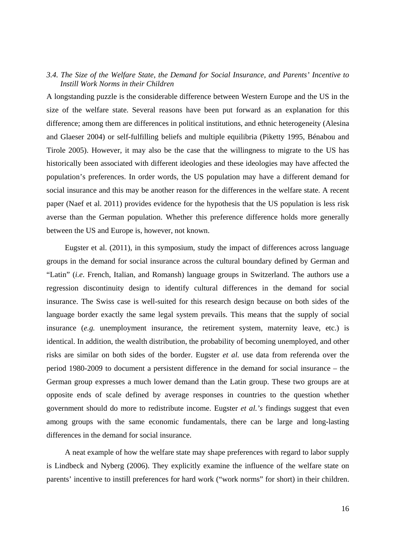## *3.4. The Size of the Welfare State, the Demand for Social Insurance, and Parents' Incentive to Instill Work Norms in their Children*

A longstanding puzzle is the considerable difference between Western Europe and the US in the size of the welfare state. Several reasons have been put forward as an explanation for this difference; among them are differences in political institutions, and ethnic heterogeneity (Alesina and Glaeser 2004) or self-fulfilling beliefs and multiple equilibria (Piketty 1995, Bénabou and Tirole 2005). However, it may also be the case that the willingness to migrate to the US has historically been associated with different ideologies and these ideologies may have affected the population's preferences. In order words, the US population may have a different demand for social insurance and this may be another reason for the differences in the welfare state. A recent paper (Naef et al. 2011) provides evidence for the hypothesis that the US population is less risk averse than the German population. Whether this preference difference holds more generally between the US and Europe is, however, not known.

Eugster et al. (2011), in this symposium, study the impact of differences across language groups in the demand for social insurance across the cultural boundary defined by German and "Latin" (*i.e*. French, Italian, and Romansh) language groups in Switzerland. The authors use a regression discontinuity design to identify cultural differences in the demand for social insurance. The Swiss case is well-suited for this research design because on both sides of the language border exactly the same legal system prevails. This means that the supply of social insurance (*e.g.* unemployment insurance, the retirement system, maternity leave, etc.) is identical. In addition, the wealth distribution, the probability of becoming unemployed, and other risks are similar on both sides of the border. Eugster *et al.* use data from referenda over the period 1980-2009 to document a persistent difference in the demand for social insurance – the German group expresses a much lower demand than the Latin group. These two groups are at opposite ends of scale defined by average responses in countries to the question whether government should do more to redistribute income. Eugster *et al.'s* findings suggest that even among groups with the same economic fundamentals, there can be large and long-lasting differences in the demand for social insurance.

A neat example of how the welfare state may shape preferences with regard to labor supply is Lindbeck and Nyberg (2006). They explicitly examine the influence of the welfare state on parents' incentive to instill preferences for hard work ("work norms" for short) in their children.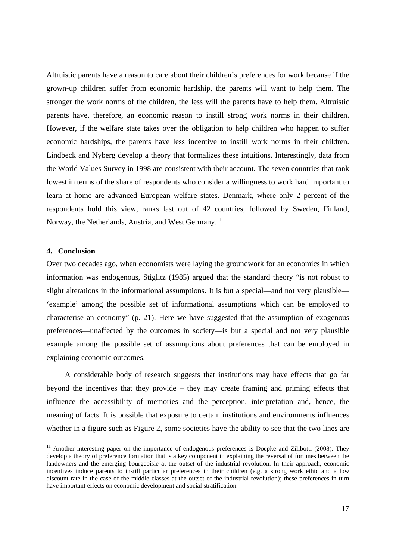Altruistic parents have a reason to care about their children's preferences for work because if the grown-up children suffer from economic hardship, the parents will want to help them. The stronger the work norms of the children, the less will the parents have to help them. Altruistic parents have, therefore, an economic reason to instill strong work norms in their children. However, if the welfare state takes over the obligation to help children who happen to suffer economic hardships, the parents have less incentive to instill work norms in their children. Lindbeck and Nyberg develop a theory that formalizes these intuitions. Interestingly, data from the World Values Survey in 1998 are consistent with their account. The seven countries that rank lowest in terms of the share of respondents who consider a willingness to work hard important to learn at home are advanced European welfare states. Denmark, where only 2 percent of the respondents hold this view, ranks last out of 42 countries, followed by Sweden, Finland, Norway, the Netherlands, Austria, and West Germany.<sup>11</sup>

### **4. Conclusion**

-

Over two decades ago, when economists were laying the groundwork for an economics in which information was endogenous, Stiglitz (1985) argued that the standard theory "is not robust to slight alterations in the informational assumptions. It is but a special—and not very plausible— 'example' among the possible set of informational assumptions which can be employed to characterise an economy" (p. 21). Here we have suggested that the assumption of exogenous preferences—unaffected by the outcomes in society—is but a special and not very plausible example among the possible set of assumptions about preferences that can be employed in explaining economic outcomes.

A considerable body of research suggests that institutions may have effects that go far beyond the incentives that they provide – they may create framing and priming effects that influence the accessibility of memories and the perception, interpretation and, hence, the meaning of facts. It is possible that exposure to certain institutions and environments influences whether in a figure such as Figure 2, some societies have the ability to see that the two lines are

 $11$  Another interesting paper on the importance of endogenous preferences is Doepke and Zilibotti (2008). They develop a theory of preference formation that is a key component in explaining the reversal of fortunes between the landowners and the emerging bourgeoisie at the outset of the industrial revolution. In their approach, economic incentives induce parents to instill particular preferences in their children (e.g. a strong work ethic and a low discount rate in the case of the middle classes at the outset of the industrial revolution); these preferences in turn have important effects on economic development and social stratification.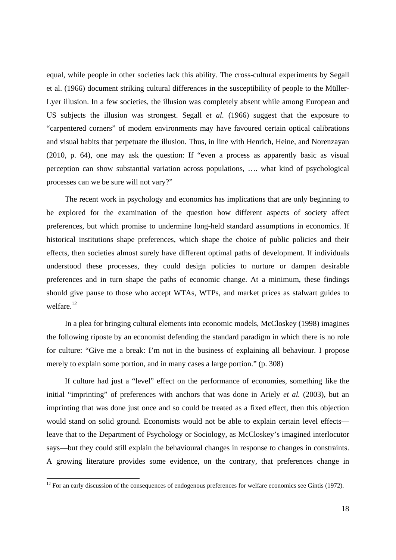equal, while people in other societies lack this ability. The cross-cultural experiments by Segall et al. (1966) document striking cultural differences in the susceptibility of people to the Müller-Lyer illusion. In a few societies, the illusion was completely absent while among European and US subjects the illusion was strongest. Segall *et al.* (1966) suggest that the exposure to "carpentered corners" of modern environments may have favoured certain optical calibrations and visual habits that perpetuate the illusion. Thus, in line with Henrich, Heine, and Norenzayan (2010, p. 64), one may ask the question: If "even a process as apparently basic as visual perception can show substantial variation across populations, …. what kind of psychological processes can we be sure will not vary?"

The recent work in psychology and economics has implications that are only beginning to be explored for the examination of the question how different aspects of society affect preferences, but which promise to undermine long-held standard assumptions in economics. If historical institutions shape preferences, which shape the choice of public policies and their effects, then societies almost surely have different optimal paths of development. If individuals understood these processes, they could design policies to nurture or dampen desirable preferences and in turn shape the paths of economic change. At a minimum, these findings should give pause to those who accept WTAs, WTPs, and market prices as stalwart guides to welfare.<sup>12</sup>

In a plea for bringing cultural elements into economic models, McCloskey (1998) imagines the following riposte by an economist defending the standard paradigm in which there is no role for culture: "Give me a break: I'm not in the business of explaining all behaviour. I propose merely to explain some portion, and in many cases a large portion." (p. 308)

If culture had just a "level" effect on the performance of economies, something like the initial "imprinting" of preferences with anchors that was done in Ariely *et al.* (2003), but an imprinting that was done just once and so could be treated as a fixed effect, then this objection would stand on solid ground. Economists would not be able to explain certain level effects leave that to the Department of Psychology or Sociology, as McCloskey's imagined interlocutor says—but they could still explain the behavioural changes in response to changes in constraints. A growing literature provides some evidence, on the contrary, that preferences change in

1

 $12$  For an early discussion of the consequences of endogenous preferences for welfare economics see Gintis (1972).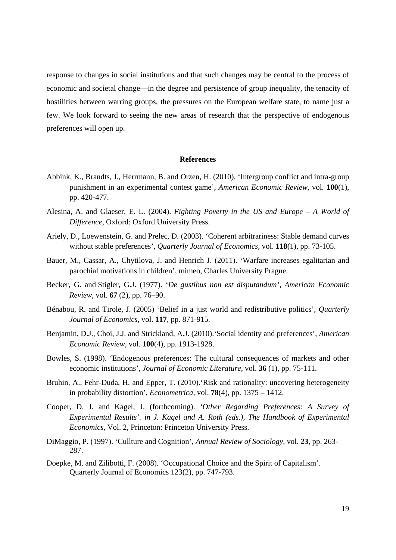response to changes in social institutions and that such changes may be central to the process of economic and societal change—in the degree and persistence of group inequality, the tenacity of hostilities between warring groups, the pressures on the European welfare state, to name just a few. We look forward to seeing the new areas of research that the perspective of endogenous preferences will open up.

#### **References**

- Abbink, K., Brandts, J., Herrmann, B. and Orzen, H. (2010). 'Intergroup conflict and intra-group punishment in an experimental contest game', *American Economic Review,* vol*.* **100**(1), pp. 420-477.
- Alesina, A. and Glaeser, E. L. (2004). *Fighting Poverty in the US and Europe A World of Difference*, Oxford: Oxford University Press.
- Ariely, D., Loewenstein, G. and Prelec, D. (2003). 'Coherent arbitrariness: Stable demand curves without stable preferences', *Quarterly Journal of Economics,* vol. **118**(1), pp. 73-105.
- Bauer, M., Cassar, A., Chytilova, J. and Henrich J. (2011). 'Warfare increases egalitarian and parochial motivations in children', mimeo, Charles University Prague.
- Becker, G. and Stigler, G.J. (1977). '*De gustibus non est disputandum'*, *American Economic Review,* vol. **67** (2), pp. 76–90.
- Bénabou, R. and Tirole, J. (2005) 'Belief in a just world and redistributive politics', *Quarterly Journal of Economics*, vol. **117**, pp. 871-915.
- Benjamin, D.J., Choi, J.J. and Strickland, A.J. (2010).'Social identity and preferences', *American Economic Review*, vol. **100**(4), pp. 1913-1928.
- Bowles, S. (1998). 'Endogenous preferences: The cultural consequences of markets and other economic institutions', *Journal of Economic Literature,* vol. **36** (1), pp. 75-111.
- Bruhin, A., Fehr-Duda, H. and Epper, T. (2010). Risk and rationality: uncovering heterogeneity in probability distortion', *Econometrica*, vol. **78**(4), pp. 1375 – 1412.
- Cooper, D. J. and Kagel, J. (forthcoming). *'Other Regarding Preferences: A Survey of Experimental Results'. in J. Kagel and A. Roth (eds.), The Handbook of Experimental Economics*, Vol. 2, Princeton: Princeton University Press.
- DiMaggio, P. (1997). 'Cullture and Cognition', *Annual Review of Sociology*, vol. **23**, pp. 263- 287.
- Doepke, M. and Zilibotti, F. (2008). 'Occupational Choice and the Spirit of Capitalism'. Quarterly Journal of Economics 123(2), pp. 747-793.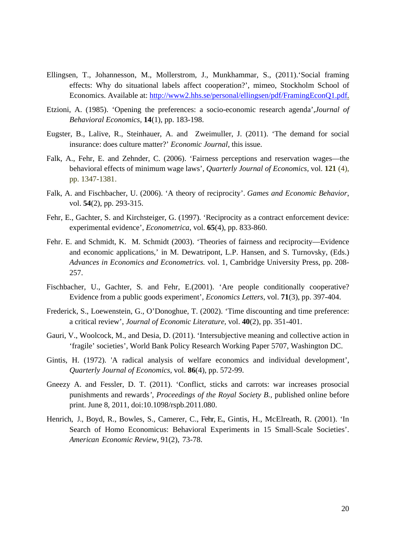- Ellingsen, T., Johannesson, M., Mollerstrom, J., Munkhammar, S., (2011).'Social framing effects: Why do situational labels affect cooperation?', mimeo, Stockholm School of Economics. Available at: http://www2.hhs.se/personal/ellingsen/pdf/FramingEconQ1.pdf.
- Etzioni, A. (1985). 'Opening the preferences: a socio-economic research agenda',*Journal of Behavioral Economics*, **14**(1), pp. 183-198.
- Eugster, B., Lalive, R., Steinhauer, A. and Zweimuller, J. (2011). 'The demand for social insurance: does culture matter?' *Economic Journal*, this issue.
- Falk, A., Fehr, E. and Zehnder, C. (2006). 'Fairness perceptions and reservation wages—the behavioral effects of minimum wage laws', *Quarterly Journal of Economics,* vol. **121** (4), pp. 1347-1381.
- Falk, A. and Fischbacher, U. (2006). 'A theory of reciprocity'. *Games and Economic Behavior*, vol. **54**(2), pp. 293-315.
- Fehr, E., Gachter, S. and Kirchsteiger, G. (1997). 'Reciprocity as a contract enforcement device: experimental evidence', *Econometrica*, vol. **65**(4), pp. 833-860.
- Fehr. E. and Schmidt, K. M. Schmidt (2003). 'Theories of fairness and reciprocity—Evidence and economic applications,' in M. Dewatripont, L.P. Hansen, and S. Turnovsky, (Eds.) *Advances in Economics and Econometrics.* vol. 1, Cambridge University Press, pp. 208- 257.
- Fischbacher, U., Gachter, S. and Fehr, E.(2001). 'Are people conditionally cooperative? Evidence from a public goods experiment', *Economics Letters*, vol. **71**(3), pp. 397-404.
- Frederick, S., Loewenstein, G., O'Donoghue, T. (2002). 'Time discounting and time preference: a critical review', *Journal of Economic Literature,* vol. **40**(2), pp. 351-401.
- Gauri, V., Woolcock, M., and Desia, D. (2011). 'Intersubjective meaning and collective action in 'fragile' societies', World Bank Policy Research Working Paper 5707, Washington DC.
- Gintis, H. (1972). 'A radical analysis of welfare economics and individual development', *Quarterly Journal of Economics*, vol. **86**(4), pp. 572-99.
- Gneezy A. and Fessler, D. T. (2011). 'Conflict, sticks and carrots: war increases prosocial punishments and rewards*'*, *Proceedings of the Royal Society B.,* published online before print. June 8, 2011, doi:10.1098/rspb.2011.080.
- Henrich, J., Boyd, R., Bowles, S., Camerer, C., Fehr, E., Gintis, H., McElreath, R. (2001). 'In Search of Homo Economicus: Behavioral Experiments in 15 Small-Scale Societies'. *American Economic Review*, 91(2), 73-78.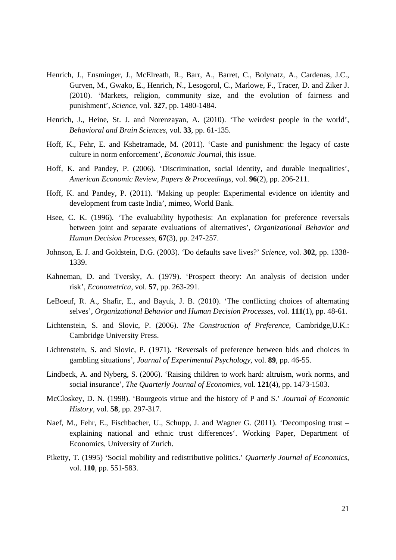- Henrich, J., Ensminger, J., McElreath, R., Barr, A., Barret, C., Bolynatz, A., Cardenas, J.C., Gurven, M., Gwako, E., Henrich, N., Lesogorol, C., Marlowe, F., Tracer, D. and Ziker J. (2010). 'Markets, religion, community size, and the evolution of fairness and punishment', *Science*, vol. **327**, pp. 1480-1484.
- Henrich, J., Heine, St. J. and Norenzayan, A. (2010). 'The weirdest people in the world', *Behavioral and Brain Sciences*, vol. **33**, pp. 61-135.
- Hoff, K., Fehr, E. and Kshetramade, M. (2011). 'Caste and punishment: the legacy of caste culture in norm enforcement', *Economic Journal*, this issue.
- Hoff, K. and Pandey, P. (2006). 'Discrimination, social identity, and durable inequalities', *American Economic Review, Papers & Proceedings,* vol. **96**(2), pp. 206-211.
- Hoff, K. and Pandey, P. (2011). 'Making up people: Experimental evidence on identity and development from caste India', mimeo, World Bank.
- Hsee, C. K. (1996). 'The evaluability hypothesis: An explanation for preference reversals between joint and separate evaluations of alternatives', *Organizational Behavior and Human Decision Processes*, **67**(3), pp. 247-257.
- Johnson, E. J. and Goldstein, D.G. (2003). 'Do defaults save lives?' *Science,* vol. **302**, pp. 1338- 1339.
- Kahneman, D. and Tversky, A. (1979). 'Prospect theory: An analysis of decision under risk', *Econometrica*, vol. **57**, pp. 263-291.
- LeBoeuf, R. A., Shafir, E., and Bayuk, J. B. (2010). 'The conflicting choices of alternating selves', *Organizational Behavior and Human Decision Processes*, vol. **111**(1), pp. 48-61.
- Lichtenstein, S. and Slovic, P. (2006). *The Construction of Preference,* Cambridge,U.K.: Cambridge University Press.
- Lichtenstein, S. and Slovic, P. (1971). 'Reversals of preference between bids and choices in gambling situations', *Journal of Experimental Psychology*, vol. **89**, pp. 46-55.
- Lindbeck, A. and Nyberg, S. (2006). 'Raising children to work hard: altruism, work norms, and social insurance', *The Quarterly Journal of Economics,* vol. **121**(4), pp. 1473-1503.
- McCloskey, D. N. (1998). 'Bourgeois virtue and the history of P and S.' *Journal of Economic History,* vol. **58**, pp. 297-317.
- Naef, M., Fehr, E., Fischbacher, U., Schupp, J. and Wagner G. (2011). 'Decomposing trust explaining national and ethnic trust differences'. Working Paper, Department of Economics, University of Zurich.
- Piketty, T. (1995) 'Social mobility and redistributive politics.' *Quarterly Journal of Economics*, vol. **110**, pp. 551-583.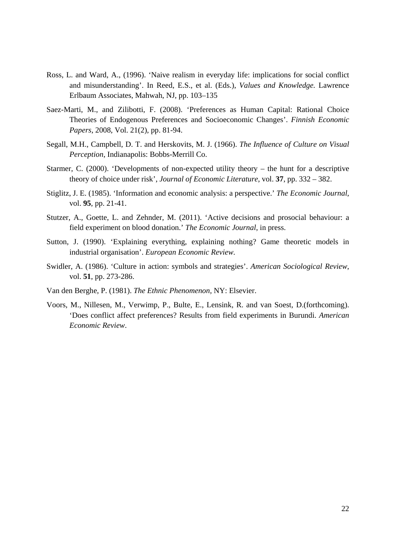- Ross, L. and Ward, A., (1996). 'Naive realism in everyday life: implications for social conflict and misunderstanding'. In Reed, E.S., et al. (Eds.), *Values and Knowledge.* Lawrence Erlbaum Associates, Mahwah, NJ, pp. 103–135
- Saez-Marti, M., and Zilibotti, F. (2008). 'Preferences as Human Capital: Rational Choice Theories of Endogenous Preferences and Socioeconomic Changes'. *Finnish Economic Papers*, 2008, Vol. 21(2), pp. 81-94.
- Segall, M.H., Campbell, D. T. and Herskovits, M. J. (1966). *The Influence of Culture on Visual Perception*, Indianapolis: Bobbs-Merrill Co.
- Starmer, C. (2000). 'Developments of non-expected utility theory the hunt for a descriptive theory of choice under risk', *Journal of Economic Literature*, vol. **37**, pp. 332 – 382.
- Stiglitz, J. E. (1985). 'Information and economic analysis: a perspective.' *The Economic Journal*, vol. **95**, pp. 21-41.
- Stutzer, A., Goette, L. and Zehnder, M. (2011). 'Active decisions and prosocial behaviour: a field experiment on blood donation.' *The Economic Journal*, in press.
- Sutton, J. (1990). 'Explaining everything, explaining nothing? Game theoretic models in industrial organisation'. *European Economic Review.*
- Swidler, A. (1986). 'Culture in action: symbols and strategies'. *American Sociological Review*, vol. **51**, pp. 273-286.
- Van den Berghe, P. (1981). *The Ethnic Phenomenon,* NY: Elsevier.
- Voors, M., Nillesen, M., Verwimp, P., Bulte, E., Lensink, R. and van Soest, D.(forthcoming). 'Does conflict affect preferences? Results from field experiments in Burundi. *American Economic Review*.